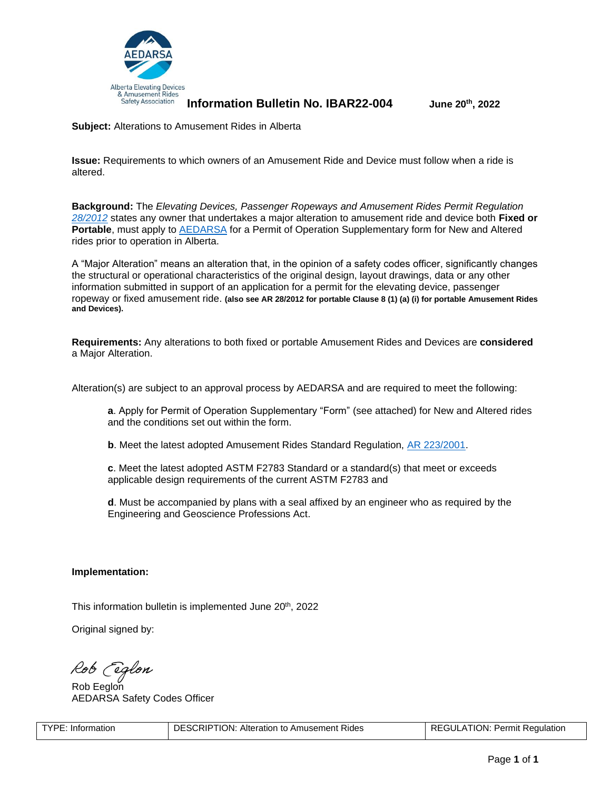

**Information Bulletin No. IBAR22-004 June 20th, 2022**

**Subject:** Alterations to Amusement Rides in Alberta

**Issue:** Requirements to which owners of an Amusement Ride and Device must follow when a ride is altered.

**Background:** The *Elevating Devices, Passenger Ropeways and Amusement Rides Permit Regulation [28/2012](https://www.qp.alberta.ca/1266.cfm?page=2012_028.cfm&leg_type=Regs&isbncln=9780779827107)* states any owner that undertakes a major alteration to amusement ride and device both **Fixed or Portable**, must apply to [AEDARSA](https://www.aedarsa.com/) for a Permit of Operation Supplementary form for New and Altered rides prior to operation in Alberta.

A "Major Alteration" means an alteration that, in the opinion of a safety codes officer, significantly changes the structural or operational characteristics of the original design, layout drawings, data or any other information submitted in support of an application for a permit for the elevating device, passenger ropeway or fixed amusement ride. **(also see AR 28/2012 for portable Clause 8 (1) (a) (i) for portable Amusement Rides and Devices).**

**Requirements:** Any alterations to both fixed or portable Amusement Rides and Devices are **considered** a Major Alteration.

Alteration(s) are subject to an approval process by AEDARSA and are required to meet the following:

**a**. Apply for Permit of Operation Supplementary "Form" (see attached) for New and Altered rides and the conditions set out within the form.

**b**. Meet the latest adopted Amusement Rides Standard Regulation, AR [223/2001.](https://www.qp.alberta.ca/1266.cfm?page=2001_223.cfm&leg_type=Regs&isbncln=9780779815357)

**c**. Meet the latest adopted ASTM F2783 Standard or a standard(s) that meet or exceeds applicable design requirements of the current ASTM F2783 and

**d**. Must be accompanied by plans with a seal affixed by an engineer who as required by the Engineering and Geoscience Professions Act.

## **Implementation:**

This information bulletin is implemented June 20<sup>th</sup>, 2022

Original signed by:

Rob *Eeglon*<br>RobEeglon

AEDARSA Safety Codes Officer